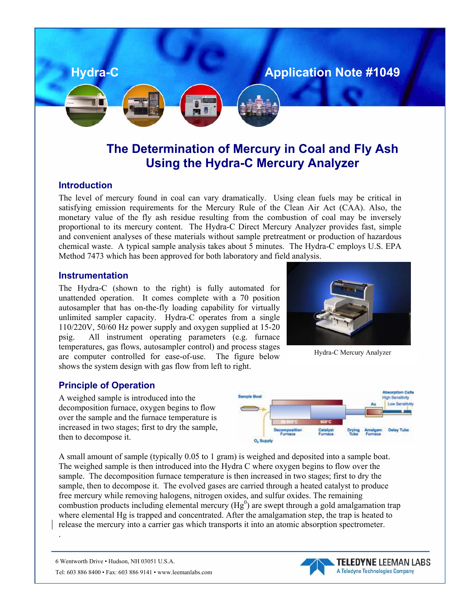

# **The Determination of Mercury in Coal and Fly Ash Using the Hydra-C Mercury Analyzer**

#### **Introduction**

The level of mercury found in coal can vary dramatically. Using clean fuels may be critical in satisfying emission requirements for the Mercury Rule of the Clean Air Act (CAA). Also, the monetary value of the fly ash residue resulting from the combustion of coal may be inversely proportional to its mercury content. The Hydra-C Direct Mercury Analyzer provides fast, simple and convenient analyses of these materials without sample pretreatment or production of hazardous chemical waste. A typical sample analysis takes about 5 minutes. The Hydra-C employs U.S. EPA Method 7473 which has been approved for both laboratory and field analysis.

#### **Instrumentation**

The Hydra-C (shown to the right) is fully automated for unattended operation. It comes complete with a 70 position autosampler that has on-the-fly loading capability for virtually unlimited sampler capacity. Hydra-C operates from a single 110/220V, 50/60 Hz power supply and oxygen supplied at 15-20 psig. All instrument operating parameters (e.g. furnace temperatures, gas flows, autosampler control) and process stages are computer controlled for ease-of-use. The figure below shows the system design with gas flow from left to right.

#### **Principle of Operation**

A weighed sample is introduced into the decomposition furnace, oxygen begins to flow over the sample and the furnace temperature is increased in two stages; first to dry the sample, then to decompose it.



Hydra-C Mercury Analyzer



A small amount of sample (typically 0.05 to 1 gram) is weighed and deposited into a sample boat. The weighed sample is then introduced into the Hydra C where oxygen begins to flow over the sample. The decomposition furnace temperature is then increased in two stages; first to dry the sample, then to decompose it. The evolved gases are carried through a heated catalyst to produce free mercury while removing halogens, nitrogen oxides, and sulfur oxides. The remaining combustion products including elemental mercury ( $Hg<sup>0</sup>$ ) are swept through a gold amalgamation trap where elemental Hg is trapped and concentrated. After the amalgamation step, the trap is heated to release the mercury into a carrier gas which transports it into an atomic absorption spectrometer.

6 Wentworth Drive • Hudson, NH 03051 U.S.A. Tel: 603 886 8400 • Fax: 603 886 9141 • www.leemanlabs.com

.